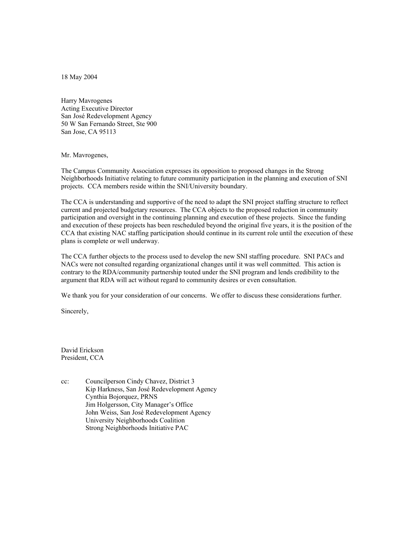18 May 2004

Harry Mavrogenes Acting Executive Director San José Redevelopment Agency 50 W San Fernando Street, Ste 900 San Jose, CA 95113

## Mr. Mavrogenes,

The Campus Community Association expresses its opposition to proposed changes in the Strong Neighborhoods Initiative relating to future community participation in the planning and execution of SNI projects. CCA members reside within the SNI/University boundary.

The CCA is understanding and supportive of the need to adapt the SNI project staffing structure to reflect current and projected budgetary resources. The CCA objects to the proposed reduction in community participation and oversight in the continuing planning and execution of these projects. Since the funding and execution of these projects has been rescheduled beyond the original five years, it is the position of the CCA that existing NAC staffing participation should continue in its current role until the execution of these plans is complete or well underway.

The CCA further objects to the process used to develop the new SNI staffing procedure. SNI PACs and NACs were not consulted regarding organizational changes until it was well committed. This action is contrary to the RDA/community partnership touted under the SNI program and lends credibility to the argument that RDA will act without regard to community desires or even consultation.

We thank you for your consideration of our concerns. We offer to discuss these considerations further.

Sincerely,

David Erickson President, CCA

cc: Councilperson Cindy Chavez, District 3 Kip Harkness, San José Redevelopment Agency Cynthia Bojorquez, PRNS Jim Holgersson, City Manager's Office John Weiss, San José Redevelopment Agency University Neighborhoods Coalition Strong Neighborhoods Initiative PAC